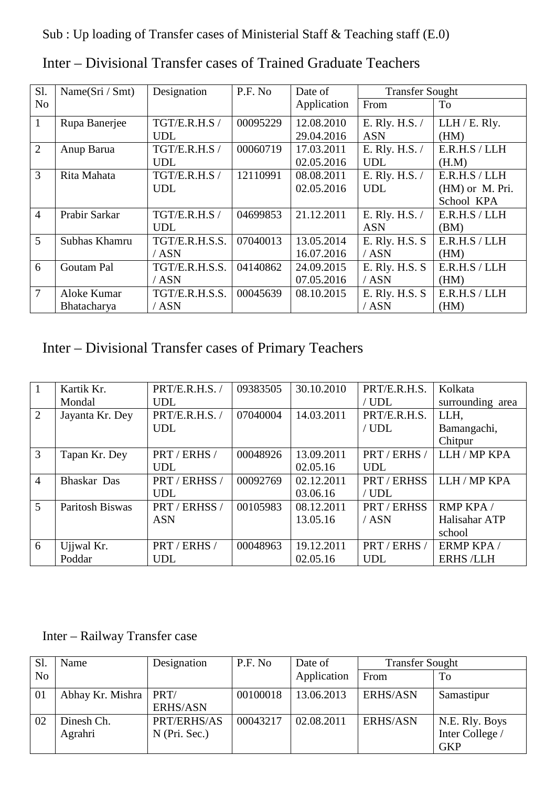Sub : Up loading of Transfer cases of Ministerial Staff & Teaching staff (E.0)

| Sl.            | Name $(Sri / Smt)$ | Designation    | P.F. No  | Date of     | <b>Transfer Sought</b> |                 |
|----------------|--------------------|----------------|----------|-------------|------------------------|-----------------|
| N <sub>o</sub> |                    |                |          | Application | From                   | To              |
| $\mathbf{1}$   | Rupa Banerjee      | TGT/E.R.H.S/   | 00095229 | 12.08.2010  | E. Rly. H.S. /         | LLH / E. Rly.   |
|                |                    | <b>UDL</b>     |          | 29.04.2016  | <b>ASN</b>             | (HM)            |
| 2              | Anup Barua         | TGT/E.R.H.S /  | 00060719 | 17.03.2011  | E. Rly. H.S. /         | E.R.H.S/LLH     |
|                |                    | <b>UDL</b>     |          | 02.05.2016  | <b>UDL</b>             | (H.M)           |
| $\overline{3}$ | Rita Mahata        | TGT/E.R.H.S/   | 12110991 | 08.08.2011  | E. Rly. H.S. /         | E.R.H.S/LLH     |
|                |                    | <b>UDL</b>     |          | 02.05.2016  | <b>UDL</b>             | (HM) or M. Pri. |
|                |                    |                |          |             |                        | School KPA      |
| $\overline{4}$ | Prabir Sarkar      | TGT/E.R.H.S/   | 04699853 | 21.12.2011  | E. Rly. H.S. /         | E.R.H.S/LLH     |
|                |                    | <b>UDL</b>     |          |             | <b>ASN</b>             | (BM)            |
| $\overline{5}$ | Subhas Khamru      | TGT/E.R.H.S.S. | 07040013 | 13.05.2014  | E. Rly. H.S. S         | E.R.H.S/LLH     |
|                |                    | /ASN           |          | 16.07.2016  | /ASN                   | (HM)            |
| 6              | Goutam Pal         | TGT/E.R.H.S.S. | 04140862 | 24.09.2015  | E. Rly. H.S. S         | E.R.H.S / LLH   |
|                |                    | / ASN          |          | 07.05.2016  | /ASN                   | (HM)            |
| $\overline{7}$ | Aloke Kumar        | TGT/E.R.H.S.S. | 00045639 | 08.10.2015  | E. Rly. H.S. S         | E.R.H.S/LLH     |
|                | Bhatacharya        | /ASN           |          |             | / ASN                  | (HM)            |

Inter – Divisional Transfer cases of Trained Graduate Teachers

Inter – Divisional Transfer cases of Primary Teachers

|                | Kartik Kr.      | PRT/E.R.H.S.  | 09383505 | 30.10.2010 | PRT/E.R.H.S. | Kolkata          |
|----------------|-----------------|---------------|----------|------------|--------------|------------------|
|                | Mondal          | <b>UDL</b>    |          |            | / UDL        | surrounding area |
| 2              | Jayanta Kr. Dey | PRT/E.R.H.S./ | 07040004 | 14.03.2011 | PRT/E.R.H.S. | LLH,             |
|                |                 | <b>UDL</b>    |          |            | / $UDL$      | Bamangachi,      |
|                |                 |               |          |            |              | Chitpur          |
| 3              | Tapan Kr. Dey   | PRT / ERHS /  | 00048926 | 13.09.2011 | PRT / ERHS / | LLH / MP KPA     |
|                |                 | <b>UDL</b>    |          | 02.05.16   | <b>UDL</b>   |                  |
| $\overline{4}$ | Bhaskar Das     | PRT / ERHSS / | 00092769 | 02.12.2011 | PRT / ERHSS  | LLH / MP KPA     |
|                |                 | <b>UDL</b>    |          | 03.06.16   | / $UDL$      |                  |
| $\mathfrak{H}$ | Paritosh Biswas | PRT / ERHSS / | 00105983 | 08.12.2011 | PRT / ERHSS  | RMP KPA /        |
|                |                 | <b>ASN</b>    |          | 13.05.16   | / ASN        | Halisahar ATP    |
|                |                 |               |          |            |              | school           |
| 6              | Ujjwal Kr.      | PRT / ERHS /  | 00048963 | 19.12.2011 | PRT / ERHS / | ERMP KPA /       |
|                | Poddar          | <b>UDL</b>    |          | 02.05.16   | <b>UDL</b>   | <b>ERHS /LLH</b> |

Inter – Railway Transfer case

| Sl. | Name             | Designation     | P.F. No  | Date of     | <b>Transfer Sought</b> |                 |
|-----|------------------|-----------------|----------|-------------|------------------------|-----------------|
| No  |                  |                 |          | Application | From                   | To              |
| 01  | Abhay Kr. Mishra | PRT/            | 00100018 | 13.06.2013  | <b>ERHS/ASN</b>        | Samastipur      |
|     |                  | <b>ERHS/ASN</b> |          |             |                        |                 |
| 02  | Dinesh Ch.       | PRT/ERHS/AS     | 00043217 | 02.08.2011  | <b>ERHS/ASN</b>        | N.E. Rly. Boys  |
|     | Agrahri          | $N$ (Pri. Sec.) |          |             |                        | Inter College / |
|     |                  |                 |          |             |                        | <b>GKP</b>      |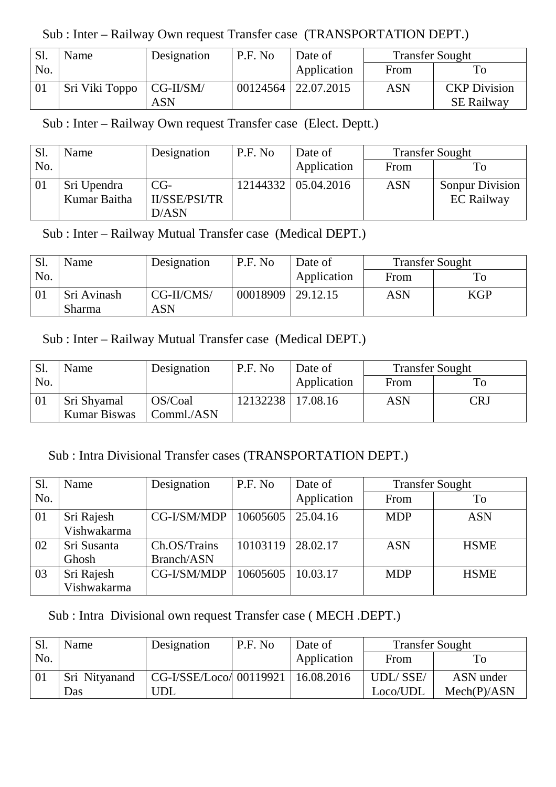Sub : Inter – Railway Own request Transfer case (TRANSPORTATION DEPT.)

| <b>S1.</b> | Name                       | Designation | P.F. No | Date of               | <b>Transfer Sought</b> |                     |
|------------|----------------------------|-------------|---------|-----------------------|------------------------|---------------------|
| No.        |                            |             |         | Application           | From                   |                     |
| 01         | Sri Viki Toppo   CG-II/SM/ |             |         | 00124564   22.07.2015 | <b>ASN</b>             | <b>CKP</b> Division |
|            |                            | ASN         |         |                       |                        | <b>SE Railway</b>   |

Sub : Inter – Railway Own request Transfer case (Elect. Deptt.)

| Sl. | Name                        | Designation            | P.F. No | Date of               | <b>Transfer Sought</b> |                                             |
|-----|-----------------------------|------------------------|---------|-----------------------|------------------------|---------------------------------------------|
| No. |                             |                        |         | Application           | From                   | Гo                                          |
| 01  | Sri Upendra<br>Kumar Baitha | $CG-$<br>II/SSE/PSI/TR |         | 12144332   05.04.2016 | <b>ASN</b>             | <b>Sonpur Division</b><br><b>EC Railway</b> |
|     |                             | D/ASN                  |         |                       |                        |                                             |

Sub : Inter – Railway Mutual Transfer case (Medical DEPT.)

| Sl. | Name        | Designation | P.F. No  | Date of         | <b>Transfer Sought</b> |            |
|-----|-------------|-------------|----------|-----------------|------------------------|------------|
| No. |             |             |          | Application     | From                   | To         |
|     | Sri Avinash | CG-II/CMS/  | 00018909 | $\mid$ 29.12.15 | ASN                    | <b>KGP</b> |
|     | Sharma      | ASN         |          |                 |                        |            |

## Sub : Inter – Railway Mutual Transfer case (Medical DEPT.)

| Sl. | Name         | Designation | P.F. No  | Date of     | <b>Transfer Sought</b> |     |
|-----|--------------|-------------|----------|-------------|------------------------|-----|
| No. |              |             |          | Application | From                   |     |
|     | Sri Shyamal  | OS/Coal     | 12132238 | 17.08.16    | ASN                    | CR. |
|     | Kumar Biswas | Comml./ASN  |          |             |                        |     |

## Sub : Intra Divisional Transfer cases (TRANSPORTATION DEPT.)

| S1  | Name        | Designation  | P.F. No  | Date of     | <b>Transfer Sought</b> |             |
|-----|-------------|--------------|----------|-------------|------------------------|-------------|
| No. |             |              |          | Application | From                   | To          |
| 01  | Sri Rajesh  | CG-I/SM/MDP  | 10605605 | 25.04.16    | <b>MDP</b>             | <b>ASN</b>  |
|     | Vishwakarma |              |          |             |                        |             |
| 02  | Sri Susanta | Ch.OS/Trains | 10103119 | 28.02.17    | <b>ASN</b>             | <b>HSME</b> |
|     | Ghosh       | Branch/ASN   |          |             |                        |             |
| 03  | Sri Rajesh  | CG-I/SM/MDP  | 10605605 | 10.03.17    | <b>MDP</b>             | <b>HSME</b> |
|     | Vishwakarma |              |          |             |                        |             |

Sub : Intra Divisional own request Transfer case ( MECH .DEPT.)

| <b>Sl.</b> | Name          | Designation             | P.F. No | Date of     | <b>Transfer Sought</b> |             |
|------------|---------------|-------------------------|---------|-------------|------------------------|-------------|
| No.        |               |                         |         | Application | From                   |             |
| 01         | Sri Nitvanand | CG-I/SSE/Loco/ 00119921 |         | 16.08.2016  | <b>UDL/SSE/</b>        | ASN under   |
|            | Das           | 'JDL                    |         |             | Loco/UDL               | Mech(P)/ASN |